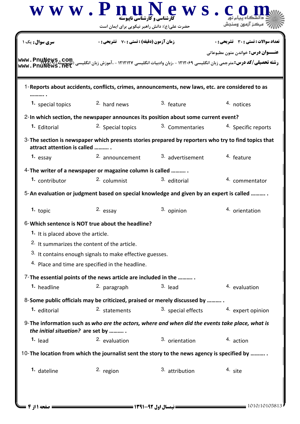|                                               | $\bf W \;\bf W\;\bf W\;$ $\bf P \;\bf n$ رشنامی و کارشناسی ناپیوسته<br>حضرت علی(ع): دانش راهبر نیکویی برای ایمان است                    | ews.                      |                                           |
|-----------------------------------------------|-----------------------------------------------------------------------------------------------------------------------------------------|---------------------------|-------------------------------------------|
| <b>سری سوال :</b> یک                          | <b>زمان آزمون (دقیقه) : تستی : 70 ٪ تشریحی : 0</b>                                                                                      |                           | تعداد سوالات : تستي : 30 ٪ تشريحي : 0     |
|                                               | رسته تحصیلی/کد درس: مترجمی زبان انگلیسی ۱۲۱۲۰۶۹ - ،زبان وادبیات انگلیسی ۱۲۱۲۱۲۷ - ،آموزش زبان انگلیسی (تاپیوسته)<br>www . PnuNews . net |                           | <b>عنـــوان درس:</b> خواندن متون مطبوعاتي |
|                                               | 1-Reports about accidents, conflicts, crimes, announcements, new laws, etc. are considered to as                                        |                           |                                           |
| 1. special topics                             | <sup>2.</sup> hard news                                                                                                                 | 3. feature                | 4. notices                                |
|                                               | 2-In which section, the newspaper announces its position about some current event?                                                      |                           |                                           |
| 1. Editorial                                  | 2. Special topics                                                                                                                       | 3. Commentaries           | 4. Specific reports                       |
| attract attention is called                   | 3-The section is newspaper which presents stories prepared by reporters who try to find topics that                                     |                           |                                           |
| 1. essay                                      | 2. announcement                                                                                                                         | 3. advertisement          | 4. feature                                |
|                                               | 4- The writer of a newspaper or magazine column is called                                                                               |                           |                                           |
| 1. contributor                                | 2. columnist                                                                                                                            | 3. editorial              | 4. commentator                            |
|                                               | 5-An evaluation or judgment based on special knowledge and given by an expert is called                                                 |                           |                                           |
| $1.$ topic                                    | 2. essay                                                                                                                                | 3. opinion                | 4. orientation                            |
|                                               | 6-Which sentence is NOT true about the headline?                                                                                        |                           |                                           |
| <sup>1.</sup> It is placed above the article. |                                                                                                                                         |                           |                                           |
|                                               | <sup>2.</sup> It summarizes the content of the article.                                                                                 |                           |                                           |
|                                               | 3. It contains enough signals to make effective guesses.                                                                                |                           |                                           |
|                                               | 4. Place and time are specified in the headline.                                                                                        |                           |                                           |
|                                               | 7- The essential points of the news article are included in the                                                                         |                           |                                           |
| 1. headline                                   | 2. paragraph                                                                                                                            | $3.$ lead                 | 4. evaluation                             |
|                                               | 8-Some public officials may be criticized, praised or merely discussed by                                                               |                           |                                           |
| <sup>1.</sup> editorial                       | 2. statements                                                                                                                           | 3. special effects        | 4. expert opinion                         |
| the initial situation? are set by             | 9-The information such as who are the actors, where and when did the events take place, what is                                         |                           |                                           |
| <sup>1.</sup> lead                            | 2. evaluation                                                                                                                           | 3. orientation            | 4. action                                 |
|                                               | 10-The location from which the journalist sent the story to the news agency is specified by                                             |                           |                                           |
| <sup>1.</sup> dateline                        | 2. region                                                                                                                               | <sup>3.</sup> attribution | 4. site                                   |
|                                               |                                                                                                                                         |                           |                                           |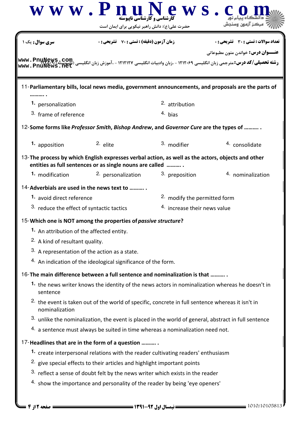| سری سوال : یک                                                                                      | <b>زمان آزمون (دقیقه) : تستی : 70 ٪ تشریحی: 0</b>                                                            |                              | تعداد سوالات : تستي : 30 ٪ تشريحي : 0     |
|----------------------------------------------------------------------------------------------------|--------------------------------------------------------------------------------------------------------------|------------------------------|-------------------------------------------|
| www.PnuNews                                                                                        |                                                                                                              |                              | <b>عنـــوان درس:</b> خواندن متون مطبوعاتي |
| 11-Parliamentary bills, local news media, government announcements, and proposals are the parts of |                                                                                                              |                              |                                           |
| 1. personalization                                                                                 |                                                                                                              | 2. attribution               |                                           |
| 3. frame of reference                                                                              |                                                                                                              | 4. bias                      |                                           |
| 12-Some forms like Professor Smith, Bishop Andrew, and Governor Cure are the types of              |                                                                                                              |                              |                                           |
| 1. apposition                                                                                      | $2.$ elite                                                                                                   | 3. modifier                  | 4. consolidate                            |
| 13-The process by which English expresses verbal action, as well as the actors, objects and other  | entities as full sentences or as single nouns are called                                                     |                              |                                           |
| 1. modification                                                                                    | 2. personalization                                                                                           | 3. preposition               | 4. nominalization                         |
| 14-Adverbials are used in the news text to                                                         |                                                                                                              |                              |                                           |
| 1. avoid direct reference                                                                          | <sup>2</sup> modify the permitted form                                                                       |                              |                                           |
| 3. reduce the effect of syntactic tactics                                                          |                                                                                                              | 4. increase their news value |                                           |
| 15-Which one is NOT among the properties of passive structure?                                     |                                                                                                              |                              |                                           |
| 1. An attribution of the affected entity.                                                          |                                                                                                              |                              |                                           |
| <sup>2</sup> A kind of resultant quality.                                                          |                                                                                                              |                              |                                           |
| 3. A representation of the action as a state.                                                      |                                                                                                              |                              |                                           |
|                                                                                                    | 4. An indication of the ideological significance of the form.                                                |                              |                                           |
| 16-The main difference between a full sentence and nominalization is that                          |                                                                                                              |                              |                                           |
|                                                                                                    | 1. the news writer knows the identity of the news actors in nominalization whereas he doesn't in             |                              |                                           |
| sentence                                                                                           |                                                                                                              |                              |                                           |
| nominalization                                                                                     | <sup>2.</sup> the event is taken out of the world of specific, concrete in full sentence whereas it isn't in |                              |                                           |
|                                                                                                    | 3. unlike the nominalization, the event is placed in the world of general, abstract in full sentence         |                              |                                           |
|                                                                                                    | 4. a sentence must always be suited in time whereas a nominalization need not.                               |                              |                                           |
| 17-Headlines that are in the form of a question                                                    |                                                                                                              |                              |                                           |
|                                                                                                    | 1. create interpersonal relations with the reader cultivating readers' enthusiasm                            |                              |                                           |
|                                                                                                    | <sup>2.</sup> give special effects to their articles and highlight important points                          |                              |                                           |
|                                                                                                    | 3. reflect a sense of doubt felt by the news writer which exists in the reader                               |                              |                                           |
|                                                                                                    | 4. show the importance and personality of the reader by being 'eye openers'                                  |                              |                                           |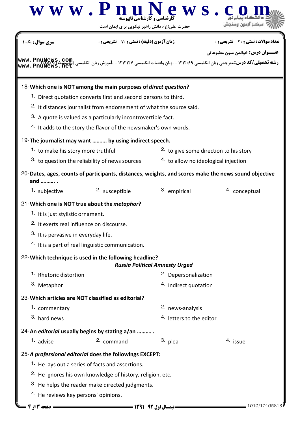|                                                      | www.PnuM<br><b>کارشناسی و کارشناسی ناپیوسته</b><br>حضرت علی(ع): دانش راهبر نیکویی برای ایمان است     | <b>ews</b>                             |                                                                                                                       |
|------------------------------------------------------|------------------------------------------------------------------------------------------------------|----------------------------------------|-----------------------------------------------------------------------------------------------------------------------|
| <b>سری سوال :</b> یک ۱                               | <b>زمان آزمون (دقیقه) : تستی : 70 ٪ تشریحی : 0</b>                                                   |                                        | تعداد سوالات : تستي : 30 ٪ تشريحي : 0<br><b>عنـــوان درس:</b> خواندن متون مطبوعاتي                                    |
|                                                      |                                                                                                      |                                        | <b>رشته تحصیلی/کد درس:</b> مترجمی زبان انگلیسی ۱۲۱۲۰۶۹ - ،زبان وادبیات انگلیسی ۱۲۱۲۱۲۷ - ،آموزش زبان انگلیسی (ناپپویی |
|                                                      | 18-Which one is NOT among the main purposes of direct question?                                      |                                        |                                                                                                                       |
|                                                      | 1. Direct quotation converts first and second persons to third.                                      |                                        |                                                                                                                       |
|                                                      | <sup>2.</sup> It distances journalist from endorsement of what the source said.                      |                                        |                                                                                                                       |
|                                                      | 3. A quote is valued as a particularly incontrovertible fact.                                        |                                        |                                                                                                                       |
|                                                      | 4. It adds to the story the flavor of the newsmaker's own words.                                     |                                        |                                                                                                                       |
|                                                      | 19-The journalist may want  by using indirect speech.                                                |                                        |                                                                                                                       |
| 1. to make his story more truthful                   |                                                                                                      | 2. to give some direction to his story |                                                                                                                       |
|                                                      | 3. to question the reliability of news sources                                                       | 4. to allow no ideological injection   |                                                                                                                       |
| and  .                                               | 20-Dates, ages, counts of participants, distances, weights, and scores make the news sound objective |                                        |                                                                                                                       |
| 1. subjective                                        | 2. susceptible                                                                                       | 3. empirical                           | 4. conceptual                                                                                                         |
|                                                      | 21-Which one is NOT true about the metaphor?                                                         |                                        |                                                                                                                       |
| 1. It is just stylistic ornament.                    |                                                                                                      |                                        |                                                                                                                       |
| <sup>2.</sup> It exerts real influence on discourse. |                                                                                                      |                                        |                                                                                                                       |
| 3. It is pervasive in everyday life.                 |                                                                                                      |                                        |                                                                                                                       |
|                                                      | 4. It is a part of real linguistic communication.                                                    |                                        |                                                                                                                       |
|                                                      | 22-Which technique is used in the following headline?                                                | <b>Russia Political Amnesty Urged</b>  |                                                                                                                       |
| 1. Rhetoric distortion                               |                                                                                                      | 2. Depersonalization                   |                                                                                                                       |
| 3. Metaphor                                          |                                                                                                      | 4. Indirect quotation                  |                                                                                                                       |
|                                                      | 23- Which articles are NOT classified as editorial?                                                  |                                        |                                                                                                                       |
| 1. commentary                                        |                                                                                                      | 2. news-analysis                       |                                                                                                                       |
| 3. hard news                                         |                                                                                                      | <sup>4.</sup> letters to the editor    |                                                                                                                       |
|                                                      | 24-An editorial usually begins by stating a/an                                                       |                                        |                                                                                                                       |
| 1. advise                                            | 2. command                                                                                           | 3. plea                                | 4. issue                                                                                                              |
|                                                      | 25-A professional editorial does the followings EXCEPT:                                              |                                        |                                                                                                                       |
|                                                      | <sup>1.</sup> He lays out a series of facts and assertions.                                          |                                        |                                                                                                                       |
|                                                      | <sup>2.</sup> He ignores his own knowledge of history, religion, etc.                                |                                        |                                                                                                                       |
|                                                      | 3. He helps the reader make directed judgments.                                                      |                                        |                                                                                                                       |
| <sup>4.</sup> He reviews key persons' opinions.      |                                                                                                      |                                        |                                                                                                                       |
| = صفحه 13 ; 4                                        |                                                                                                      |                                        | 1010/10105813                                                                                                         |